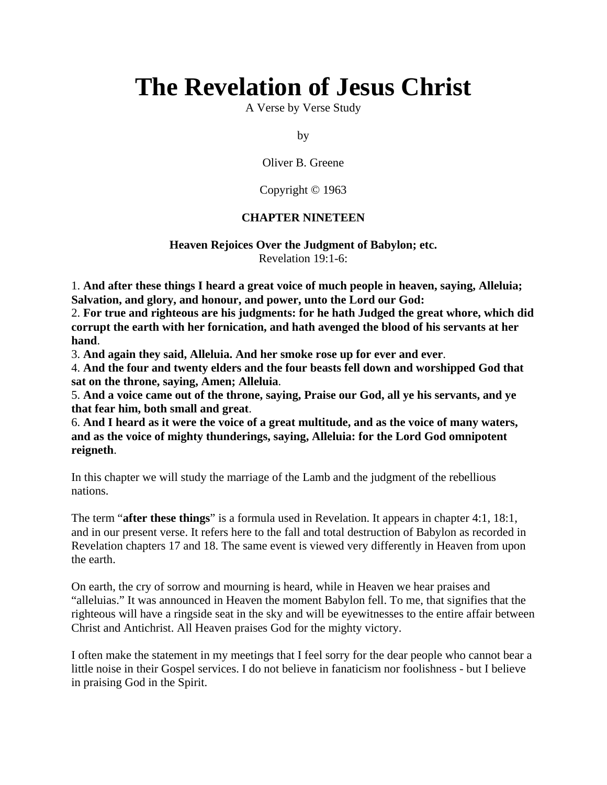# **The Revelation of Jesus Christ**

A Verse by Verse Study

by

Oliver B. Greene

Copyright © 1963

#### **CHAPTER NINETEEN**

#### **Heaven Rejoices Over the Judgment of Babylon; etc.** Revelation 19:1-6:

1. **And after these things I heard a great voice of much people in heaven, saying, Alleluia; Salvation, and glory, and honour, and power, unto the Lord our God:**

2. **For true and righteous are his judgments: for he hath Judged the great whore, which did corrupt the earth with her fornication, and hath avenged the blood of his servants at her hand**.

3. **And again they said, Alleluia. And her smoke rose up for ever and ever**.

4. **And the four and twenty elders and the four beasts fell down and worshipped God that sat on the throne, saying, Amen; Alleluia**.

5. **And a voice came out of the throne, saying, Praise our God, all ye his servants, and ye that fear him, both small and great**.

6. **And I heard as it were the voice of a great multitude, and as the voice of many waters, and as the voice of mighty thunderings, saying, Alleluia: for the Lord God omnipotent reigneth**.

In this chapter we will study the marriage of the Lamb and the judgment of the rebellious nations.

The term "**after these things**" is a formula used in Revelation. It appears in chapter 4:1, 18:1, and in our present verse. It refers here to the fall and total destruction of Babylon as recorded in Revelation chapters 17 and 18. The same event is viewed very differently in Heaven from upon the earth.

On earth, the cry of sorrow and mourning is heard, while in Heaven we hear praises and "alleluias." It was announced in Heaven the moment Babylon fell. To me, that signifies that the righteous will have a ringside seat in the sky and will be eyewitnesses to the entire affair between Christ and Antichrist. All Heaven praises God for the mighty victory.

I often make the statement in my meetings that I feel sorry for the dear people who cannot bear a little noise in their Gospel services. I do not believe in fanaticism nor foolishness - but I believe in praising God in the Spirit.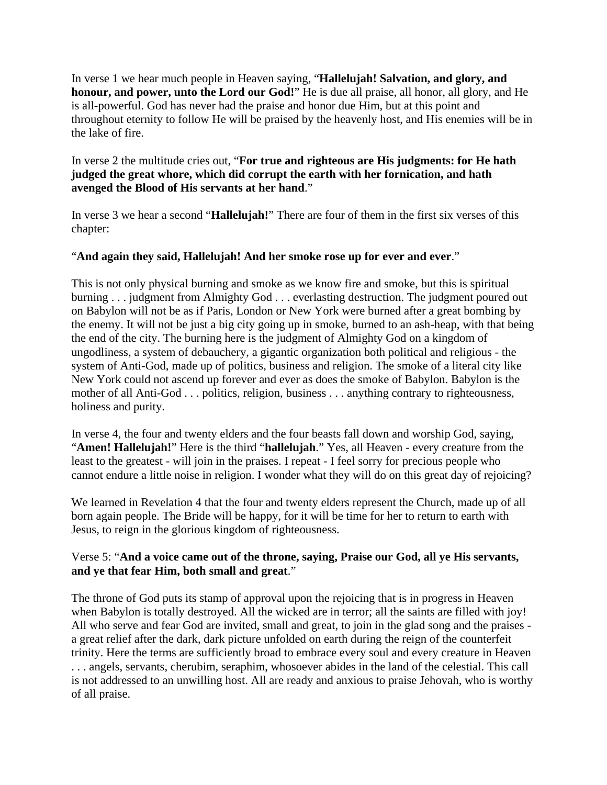In verse 1 we hear much people in Heaven saying, "**Hallelujah! Salvation, and glory, and honour, and power, unto the Lord our God!**" He is due all praise, all honor, all glory, and He is all-powerful. God has never had the praise and honor due Him, but at this point and throughout eternity to follow He will be praised by the heavenly host, and His enemies will be in the lake of fire.

# In verse 2 the multitude cries out, "**For true and righteous are His judgments: for He hath judged the great whore, which did corrupt the earth with her fornication, and hath avenged the Blood of His servants at her hand**."

In verse 3 we hear a second "**Hallelujah!**" There are four of them in the first six verses of this chapter:

# "**And again they said, Hallelujah! And her smoke rose up for ever and ever**."

This is not only physical burning and smoke as we know fire and smoke, but this is spiritual burning . . . judgment from Almighty God . . . everlasting destruction. The judgment poured out on Babylon will not be as if Paris, London or New York were burned after a great bombing by the enemy. It will not be just a big city going up in smoke, burned to an ash-heap, with that being the end of the city. The burning here is the judgment of Almighty God on a kingdom of ungodliness, a system of debauchery, a gigantic organization both political and religious - the system of Anti-God, made up of politics, business and religion. The smoke of a literal city like New York could not ascend up forever and ever as does the smoke of Babylon. Babylon is the mother of all Anti-God . . . politics, religion, business . . . anything contrary to righteousness, holiness and purity.

In verse 4, the four and twenty elders and the four beasts fall down and worship God, saying, "**Amen! Hallelujah!**" Here is the third "**hallelujah**." Yes, all Heaven - every creature from the least to the greatest - will join in the praises. I repeat - I feel sorry for precious people who cannot endure a little noise in religion. I wonder what they will do on this great day of rejoicing?

We learned in Revelation 4 that the four and twenty elders represent the Church, made up of all born again people. The Bride will be happy, for it will be time for her to return to earth with Jesus, to reign in the glorious kingdom of righteousness.

#### Verse 5: "**And a voice came out of the throne, saying, Praise our God, all ye His servants, and ye that fear Him, both small and great**."

The throne of God puts its stamp of approval upon the rejoicing that is in progress in Heaven when Babylon is totally destroyed. All the wicked are in terror; all the saints are filled with joy! All who serve and fear God are invited, small and great, to join in the glad song and the praises a great relief after the dark, dark picture unfolded on earth during the reign of the counterfeit trinity. Here the terms are sufficiently broad to embrace every soul and every creature in Heaven . . . angels, servants, cherubim, seraphim, whosoever abides in the land of the celestial. This call is not addressed to an unwilling host. All are ready and anxious to praise Jehovah, who is worthy of all praise.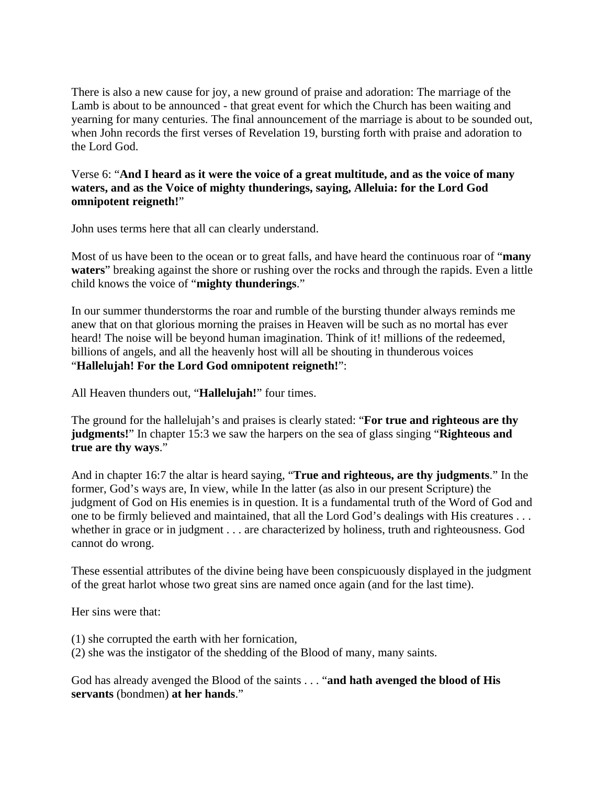There is also a new cause for joy, a new ground of praise and adoration: The marriage of the Lamb is about to be announced - that great event for which the Church has been waiting and yearning for many centuries. The final announcement of the marriage is about to be sounded out, when John records the first verses of Revelation 19, bursting forth with praise and adoration to the Lord God.

Verse 6: "**And I heard as it were the voice of a great multitude, and as the voice of many waters, and as the Voice of mighty thunderings, saying, Alleluia: for the Lord God omnipotent reigneth!**"

John uses terms here that all can clearly understand.

Most of us have been to the ocean or to great falls, and have heard the continuous roar of "**many waters**" breaking against the shore or rushing over the rocks and through the rapids. Even a little child knows the voice of "**mighty thunderings**."

In our summer thunderstorms the roar and rumble of the bursting thunder always reminds me anew that on that glorious morning the praises in Heaven will be such as no mortal has ever heard! The noise will be beyond human imagination. Think of it! millions of the redeemed, billions of angels, and all the heavenly host will all be shouting in thunderous voices "**Hallelujah! For the Lord God omnipotent reigneth!**":

All Heaven thunders out, "**Hallelujah!**" four times.

The ground for the hallelujah's and praises is clearly stated: "**For true and righteous are thy judgments!**" In chapter 15:3 we saw the harpers on the sea of glass singing "**Righteous and true are thy ways**."

And in chapter 16:7 the altar is heard saying, "**True and righteous, are thy judgments**." In the former, God's ways are, In view, while In the latter (as also in our present Scripture) the judgment of God on His enemies is in question. It is a fundamental truth of the Word of God and one to be firmly believed and maintained, that all the Lord God's dealings with His creatures . . . whether in grace or in judgment . . . are characterized by holiness, truth and righteousness. God cannot do wrong.

These essential attributes of the divine being have been conspicuously displayed in the judgment of the great harlot whose two great sins are named once again (and for the last time).

Her sins were that:

- (1) she corrupted the earth with her fornication,
- (2) she was the instigator of the shedding of the Blood of many, many saints.

God has already avenged the Blood of the saints . . . "**and hath avenged the blood of His servants** (bondmen) **at her hands**."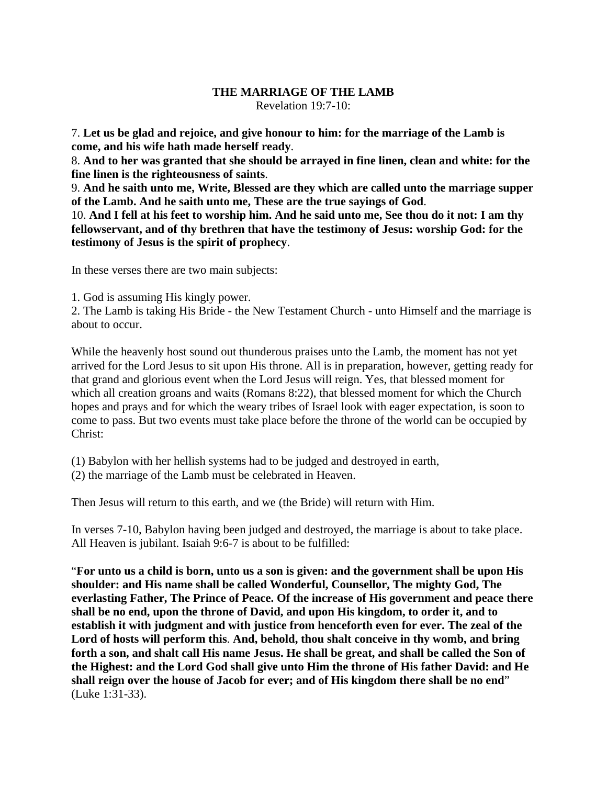# **THE MARRIAGE OF THE LAMB**

Revelation 19:7-10:

7. **Let us be glad and rejoice, and give honour to him: for the marriage of the Lamb is come, and his wife hath made herself ready**.

8. **And to her was granted that she should be arrayed in fine linen, clean and white: for the fine linen is the righteousness of saints**.

9. **And he saith unto me, Write, Blessed are they which are called unto the marriage supper of the Lamb. And he saith unto me, These are the true sayings of God**.

10. **And I fell at his feet to worship him. And he said unto me, See thou do it not: I am thy fellowservant, and of thy brethren that have the testimony of Jesus: worship God: for the testimony of Jesus is the spirit of prophecy**.

In these verses there are two main subjects:

1. God is assuming His kingly power.

2. The Lamb is taking His Bride - the New Testament Church - unto Himself and the marriage is about to occur.

While the heavenly host sound out thunderous praises unto the Lamb, the moment has not yet arrived for the Lord Jesus to sit upon His throne. All is in preparation, however, getting ready for that grand and glorious event when the Lord Jesus will reign. Yes, that blessed moment for which all creation groans and waits (Romans 8:22), that blessed moment for which the Church hopes and prays and for which the weary tribes of Israel look with eager expectation, is soon to come to pass. But two events must take place before the throne of the world can be occupied by Christ:

- (1) Babylon with her hellish systems had to be judged and destroyed in earth,
- (2) the marriage of the Lamb must be celebrated in Heaven.

Then Jesus will return to this earth, and we (the Bride) will return with Him.

In verses 7-10, Babylon having been judged and destroyed, the marriage is about to take place. All Heaven is jubilant. Isaiah 9:6-7 is about to be fulfilled:

"**For unto us a child is born, unto us a son is given: and the government shall be upon His shoulder: and His name shall be called Wonderful, Counsellor, The mighty God, The everlasting Father, The Prince of Peace. Of the increase of His government and peace there shall be no end, upon the throne of David, and upon His kingdom, to order it, and to establish it with judgment and with justice from henceforth even for ever. The zeal of the Lord of hosts will perform this**. **And, behold, thou shalt conceive in thy womb, and bring forth a son, and shalt call His name Jesus. He shall be great, and shall be called the Son of the Highest: and the Lord God shall give unto Him the throne of His father David: and He shall reign over the house of Jacob for ever; and of His kingdom there shall be no end**" (Luke 1:31-33).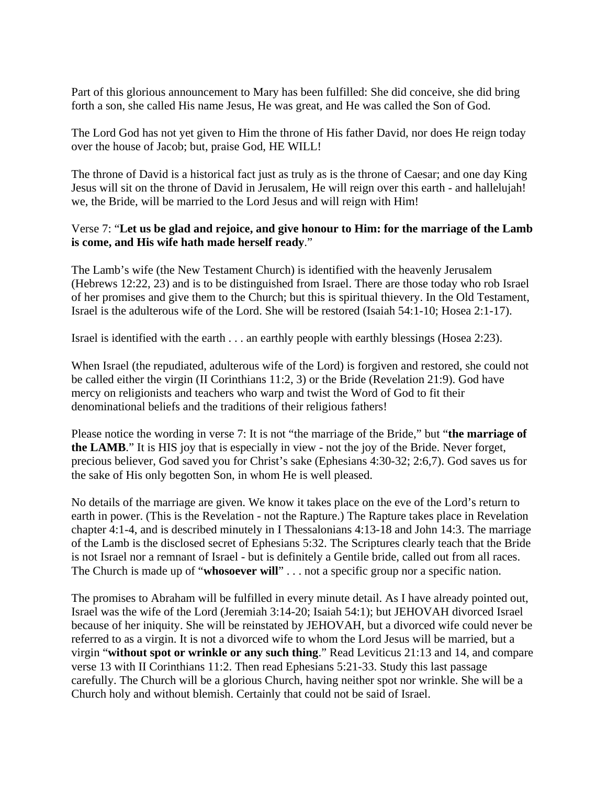Part of this glorious announcement to Mary has been fulfilled: She did conceive, she did bring forth a son, she called His name Jesus, He was great, and He was called the Son of God.

The Lord God has not yet given to Him the throne of His father David, nor does He reign today over the house of Jacob; but, praise God, HE WILL!

The throne of David is a historical fact just as truly as is the throne of Caesar; and one day King Jesus will sit on the throne of David in Jerusalem, He will reign over this earth - and hallelujah! we, the Bride, will be married to the Lord Jesus and will reign with Him!

## Verse 7: "**Let us be glad and rejoice, and give honour to Him: for the marriage of the Lamb is come, and His wife hath made herself ready**."

The Lamb's wife (the New Testament Church) is identified with the heavenly Jerusalem (Hebrews 12:22, 23) and is to be distinguished from Israel. There are those today who rob Israel of her promises and give them to the Church; but this is spiritual thievery. In the Old Testament, Israel is the adulterous wife of the Lord. She will be restored (Isaiah 54:1-10; Hosea 2:1-17).

Israel is identified with the earth . . . an earthly people with earthly blessings (Hosea 2:23).

When Israel (the repudiated, adulterous wife of the Lord) is forgiven and restored, she could not be called either the virgin (II Corinthians 11:2, 3) or the Bride (Revelation 21:9). God have mercy on religionists and teachers who warp and twist the Word of God to fit their denominational beliefs and the traditions of their religious fathers!

Please notice the wording in verse 7: It is not "the marriage of the Bride," but "**the marriage of the LAMB**." It is HIS joy that is especially in view - not the joy of the Bride. Never forget, precious believer, God saved you for Christ's sake (Ephesians 4:30-32; 2:6,7). God saves us for the sake of His only begotten Son, in whom He is well pleased.

No details of the marriage are given. We know it takes place on the eve of the Lord's return to earth in power. (This is the Revelation - not the Rapture.) The Rapture takes place in Revelation chapter 4:1-4, and is described minutely in I Thessalonians 4:13-18 and John 14:3. The marriage of the Lamb is the disclosed secret of Ephesians 5:32. The Scriptures clearly teach that the Bride is not Israel nor a remnant of Israel - but is definitely a Gentile bride, called out from all races. The Church is made up of "**whosoever will**" . . . not a specific group nor a specific nation.

The promises to Abraham will be fulfilled in every minute detail. As I have already pointed out, Israel was the wife of the Lord (Jeremiah 3:14-20; Isaiah 54:1); but JEHOVAH divorced Israel because of her iniquity. She will be reinstated by JEHOVAH, but a divorced wife could never be referred to as a virgin. It is not a divorced wife to whom the Lord Jesus will be married, but a virgin "**without spot or wrinkle or any such thing**." Read Leviticus 21:13 and 14, and compare verse 13 with II Corinthians 11:2. Then read Ephesians 5:21-33. Study this last passage carefully. The Church will be a glorious Church, having neither spot nor wrinkle. She will be a Church holy and without blemish. Certainly that could not be said of Israel.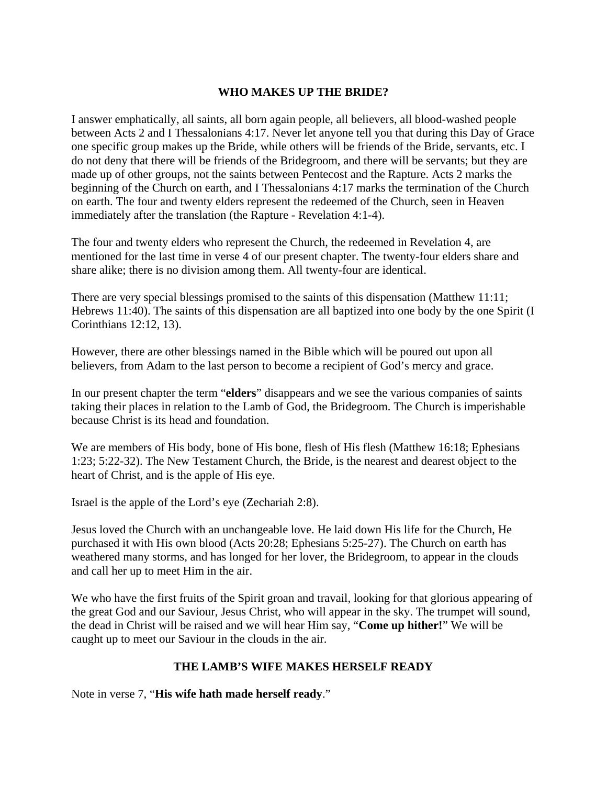#### **WHO MAKES UP THE BRIDE?**

I answer emphatically, all saints, all born again people, all believers, all blood-washed people between Acts 2 and I Thessalonians 4:17. Never let anyone tell you that during this Day of Grace one specific group makes up the Bride, while others will be friends of the Bride, servants, etc. I do not deny that there will be friends of the Bridegroom, and there will be servants; but they are made up of other groups, not the saints between Pentecost and the Rapture. Acts 2 marks the beginning of the Church on earth, and I Thessalonians 4:17 marks the termination of the Church on earth. The four and twenty elders represent the redeemed of the Church, seen in Heaven immediately after the translation (the Rapture - Revelation 4:1-4).

The four and twenty elders who represent the Church, the redeemed in Revelation 4, are mentioned for the last time in verse 4 of our present chapter. The twenty-four elders share and share alike; there is no division among them. All twenty-four are identical.

There are very special blessings promised to the saints of this dispensation (Matthew 11:11; Hebrews 11:40). The saints of this dispensation are all baptized into one body by the one Spirit (I Corinthians 12:12, 13).

However, there are other blessings named in the Bible which will be poured out upon all believers, from Adam to the last person to become a recipient of God's mercy and grace.

In our present chapter the term "**elders**" disappears and we see the various companies of saints taking their places in relation to the Lamb of God, the Bridegroom. The Church is imperishable because Christ is its head and foundation.

We are members of His body, bone of His bone, flesh of His flesh (Matthew 16:18; Ephesians 1:23; 5:22-32). The New Testament Church, the Bride, is the nearest and dearest object to the heart of Christ, and is the apple of His eye.

Israel is the apple of the Lord's eye (Zechariah 2:8).

Jesus loved the Church with an unchangeable love. He laid down His life for the Church, He purchased it with His own blood (Acts 20:28; Ephesians 5:25-27). The Church on earth has weathered many storms, and has longed for her lover, the Bridegroom, to appear in the clouds and call her up to meet Him in the air.

We who have the first fruits of the Spirit groan and travail, looking for that glorious appearing of the great God and our Saviour, Jesus Christ, who will appear in the sky. The trumpet will sound, the dead in Christ will be raised and we will hear Him say, "**Come up hither!**" We will be caught up to meet our Saviour in the clouds in the air.

#### **THE LAMB'S WIFE MAKES HERSELF READY**

Note in verse 7, "**His wife hath made herself ready**."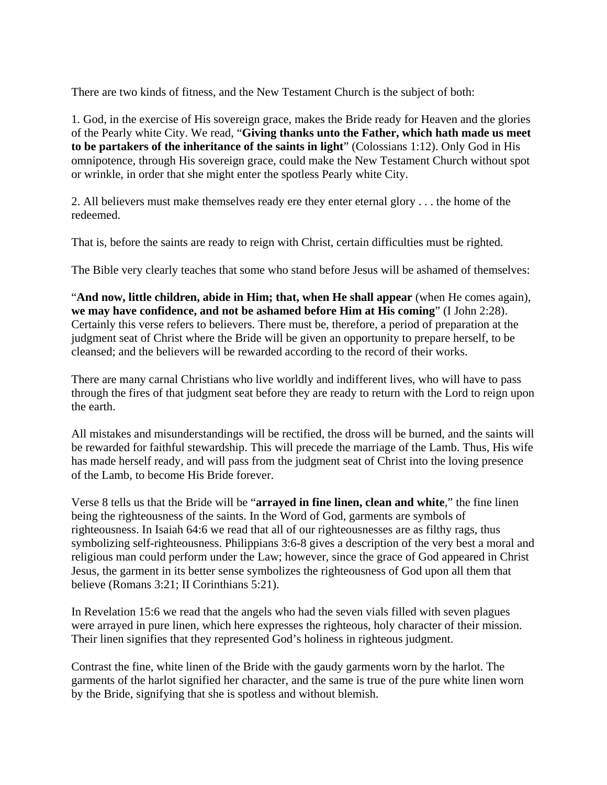There are two kinds of fitness, and the New Testament Church is the subject of both:

1. God, in the exercise of His sovereign grace, makes the Bride ready for Heaven and the glories of the Pearly white City. We read, "**Giving thanks unto the Father, which hath made us meet to be partakers of the inheritance of the saints in light**" (Colossians 1:12). Only God in His omnipotence, through His sovereign grace, could make the New Testament Church without spot or wrinkle, in order that she might enter the spotless Pearly white City.

2. All believers must make themselves ready ere they enter eternal glory . . . the home of the redeemed.

That is, before the saints are ready to reign with Christ, certain difficulties must be righted.

The Bible very clearly teaches that some who stand before Jesus will be ashamed of themselves:

"**And now, little children, abide in Him; that, when He shall appear** (when He comes again), **we may have confidence, and not be ashamed before Him at His coming**" (I John 2:28). Certainly this verse refers to believers. There must be, therefore, a period of preparation at the judgment seat of Christ where the Bride will be given an opportunity to prepare herself, to be cleansed; and the believers will be rewarded according to the record of their works.

There are many carnal Christians who live worldly and indifferent lives, who will have to pass through the fires of that judgment seat before they are ready to return with the Lord to reign upon the earth.

All mistakes and misunderstandings will be rectified, the dross will be burned, and the saints will be rewarded for faithful stewardship. This will precede the marriage of the Lamb. Thus, His wife has made herself ready, and will pass from the judgment seat of Christ into the loving presence of the Lamb, to become His Bride forever.

Verse 8 tells us that the Bride will be "**arrayed in fine linen, clean and white**," the fine linen being the righteousness of the saints. In the Word of God, garments are symbols of righteousness. In Isaiah 64:6 we read that all of our righteousnesses are as filthy rags, thus symbolizing self-righteousness. Philippians 3:6-8 gives a description of the very best a moral and religious man could perform under the Law; however, since the grace of God appeared in Christ Jesus, the garment in its better sense symbolizes the righteousness of God upon all them that believe (Romans 3:21; II Corinthians 5:21).

In Revelation 15:6 we read that the angels who had the seven vials filled with seven plagues were arrayed in pure linen, which here expresses the righteous, holy character of their mission. Their linen signifies that they represented God's holiness in righteous judgment.

Contrast the fine, white linen of the Bride with the gaudy garments worn by the harlot. The garments of the harlot signified her character, and the same is true of the pure white linen worn by the Bride, signifying that she is spotless and without blemish.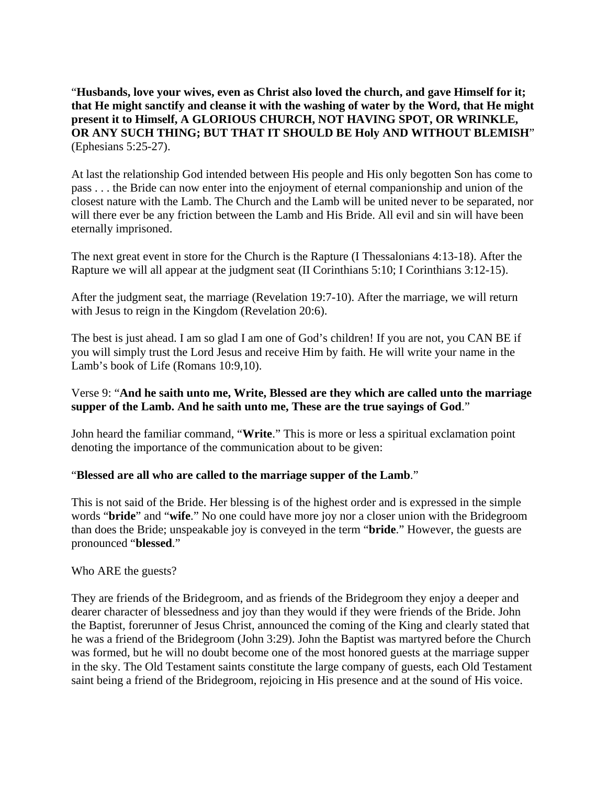"**Husbands, love your wives, even as Christ also loved the church, and gave Himself for it; that He might sanctify and cleanse it with the washing of water by the Word, that He might present it to Himself, A GLORIOUS CHURCH, NOT HAVING SPOT, OR WRINKLE, OR ANY SUCH THING; BUT THAT IT SHOULD BE Holy AND WITHOUT BLEMISH**" (Ephesians 5:25-27).

At last the relationship God intended between His people and His only begotten Son has come to pass . . . the Bride can now enter into the enjoyment of eternal companionship and union of the closest nature with the Lamb. The Church and the Lamb will be united never to be separated, nor will there ever be any friction between the Lamb and His Bride. All evil and sin will have been eternally imprisoned.

The next great event in store for the Church is the Rapture (I Thessalonians 4:13-18). After the Rapture we will all appear at the judgment seat (II Corinthians 5:10; I Corinthians 3:12-15).

After the judgment seat, the marriage (Revelation 19:7-10). After the marriage, we will return with Jesus to reign in the Kingdom (Revelation 20:6).

The best is just ahead. I am so glad I am one of God's children! If you are not, you CAN BE if you will simply trust the Lord Jesus and receive Him by faith. He will write your name in the Lamb's book of Life (Romans 10:9,10).

#### Verse 9: "**And he saith unto me, Write, Blessed are they which are called unto the marriage supper of the Lamb. And he saith unto me, These are the true sayings of God**."

John heard the familiar command, "**Write**." This is more or less a spiritual exclamation point denoting the importance of the communication about to be given:

#### "**Blessed are all who are called to the marriage supper of the Lamb**."

This is not said of the Bride. Her blessing is of the highest order and is expressed in the simple words "**bride**" and "**wife**." No one could have more joy nor a closer union with the Bridegroom than does the Bride; unspeakable joy is conveyed in the term "**bride**." However, the guests are pronounced "**blessed**."

Who ARE the guests?

They are friends of the Bridegroom, and as friends of the Bridegroom they enjoy a deeper and dearer character of blessedness and joy than they would if they were friends of the Bride. John the Baptist, forerunner of Jesus Christ, announced the coming of the King and clearly stated that he was a friend of the Bridegroom (John 3:29). John the Baptist was martyred before the Church was formed, but he will no doubt become one of the most honored guests at the marriage supper in the sky. The Old Testament saints constitute the large company of guests, each Old Testament saint being a friend of the Bridegroom, rejoicing in His presence and at the sound of His voice.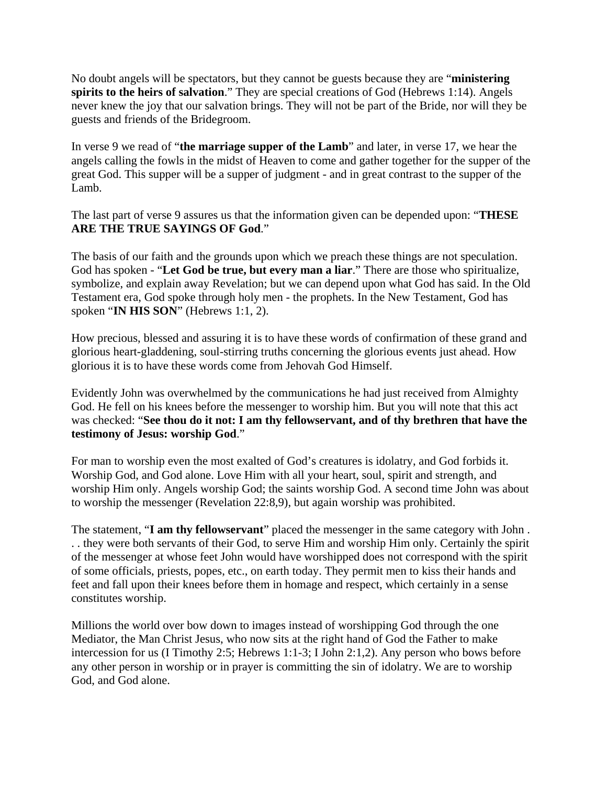No doubt angels will be spectators, but they cannot be guests because they are "**ministering spirits to the heirs of salvation**." They are special creations of God (Hebrews 1:14). Angels never knew the joy that our salvation brings. They will not be part of the Bride, nor will they be guests and friends of the Bridegroom.

In verse 9 we read of "**the marriage supper of the Lamb**" and later, in verse 17, we hear the angels calling the fowls in the midst of Heaven to come and gather together for the supper of the great God. This supper will be a supper of judgment - and in great contrast to the supper of the Lamb.

The last part of verse 9 assures us that the information given can be depended upon: "**THESE ARE THE TRUE SAYINGS OF God**."

The basis of our faith and the grounds upon which we preach these things are not speculation. God has spoken - "**Let God be true, but every man a liar**." There are those who spiritualize, symbolize, and explain away Revelation; but we can depend upon what God has said. In the Old Testament era, God spoke through holy men - the prophets. In the New Testament, God has spoken "**IN HIS SON**" (Hebrews 1:1, 2).

How precious, blessed and assuring it is to have these words of confirmation of these grand and glorious heart-gladdening, soul-stirring truths concerning the glorious events just ahead. How glorious it is to have these words come from Jehovah God Himself.

Evidently John was overwhelmed by the communications he had just received from Almighty God. He fell on his knees before the messenger to worship him. But you will note that this act was checked: "**See thou do it not: I am thy fellowservant, and of thy brethren that have the testimony of Jesus: worship God**."

For man to worship even the most exalted of God's creatures is idolatry, and God forbids it. Worship God, and God alone. Love Him with all your heart, soul, spirit and strength, and worship Him only. Angels worship God; the saints worship God. A second time John was about to worship the messenger (Revelation 22:8,9), but again worship was prohibited.

The statement, "**I am thy fellowservant**" placed the messenger in the same category with John . . . they were both servants of their God, to serve Him and worship Him only. Certainly the spirit of the messenger at whose feet John would have worshipped does not correspond with the spirit of some officials, priests, popes, etc., on earth today. They permit men to kiss their hands and feet and fall upon their knees before them in homage and respect, which certainly in a sense constitutes worship.

Millions the world over bow down to images instead of worshipping God through the one Mediator, the Man Christ Jesus, who now sits at the right hand of God the Father to make intercession for us (I Timothy 2:5; Hebrews 1:1-3; I John 2:1,2). Any person who bows before any other person in worship or in prayer is committing the sin of idolatry. We are to worship God, and God alone.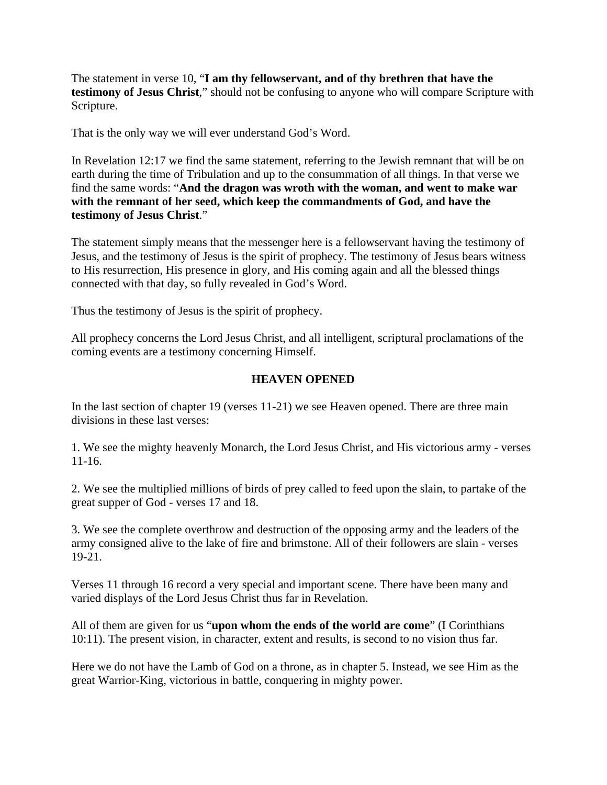The statement in verse 10, "**I am thy fellowservant, and of thy brethren that have the testimony of Jesus Christ**," should not be confusing to anyone who will compare Scripture with Scripture.

That is the only way we will ever understand God's Word.

In Revelation 12:17 we find the same statement, referring to the Jewish remnant that will be on earth during the time of Tribulation and up to the consummation of all things. In that verse we find the same words: "**And the dragon was wroth with the woman, and went to make war with the remnant of her seed, which keep the commandments of God, and have the testimony of Jesus Christ**."

The statement simply means that the messenger here is a fellowservant having the testimony of Jesus, and the testimony of Jesus is the spirit of prophecy. The testimony of Jesus bears witness to His resurrection, His presence in glory, and His coming again and all the blessed things connected with that day, so fully revealed in God's Word.

Thus the testimony of Jesus is the spirit of prophecy.

All prophecy concerns the Lord Jesus Christ, and all intelligent, scriptural proclamations of the coming events are a testimony concerning Himself.

#### **HEAVEN OPENED**

In the last section of chapter 19 (verses 11-21) we see Heaven opened. There are three main divisions in these last verses:

1. We see the mighty heavenly Monarch, the Lord Jesus Christ, and His victorious army - verses 11-16.

2. We see the multiplied millions of birds of prey called to feed upon the slain, to partake of the great supper of God - verses 17 and 18.

3. We see the complete overthrow and destruction of the opposing army and the leaders of the army consigned alive to the lake of fire and brimstone. All of their followers are slain - verses 19-21.

Verses 11 through 16 record a very special and important scene. There have been many and varied displays of the Lord Jesus Christ thus far in Revelation.

All of them are given for us "**upon whom the ends of the world are come**" (I Corinthians 10:11). The present vision, in character, extent and results, is second to no vision thus far.

Here we do not have the Lamb of God on a throne, as in chapter 5. Instead, we see Him as the great Warrior-King, victorious in battle, conquering in mighty power.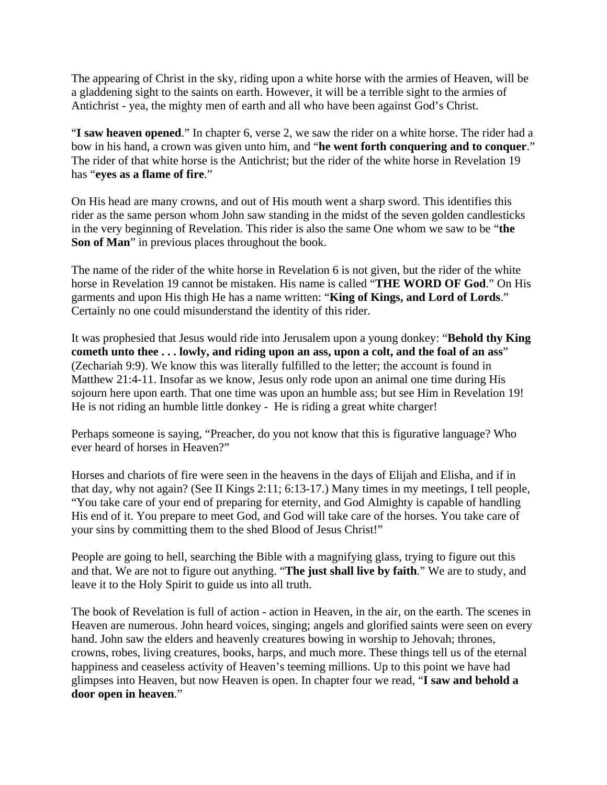The appearing of Christ in the sky, riding upon a white horse with the armies of Heaven, will be a gladdening sight to the saints on earth. However, it will be a terrible sight to the armies of Antichrist - yea, the mighty men of earth and all who have been against God's Christ.

"**I saw heaven opened**." In chapter 6, verse 2, we saw the rider on a white horse. The rider had a bow in his hand, a crown was given unto him, and "**he went forth conquering and to conquer**." The rider of that white horse is the Antichrist; but the rider of the white horse in Revelation 19 has "**eyes as a flame of fire**."

On His head are many crowns, and out of His mouth went a sharp sword. This identifies this rider as the same person whom John saw standing in the midst of the seven golden candlesticks in the very beginning of Revelation. This rider is also the same One whom we saw to be "**the Son of Man**" in previous places throughout the book.

The name of the rider of the white horse in Revelation 6 is not given, but the rider of the white horse in Revelation 19 cannot be mistaken. His name is called "**THE WORD OF God**." On His garments and upon His thigh He has a name written: "**King of Kings, and Lord of Lords**." Certainly no one could misunderstand the identity of this rider.

It was prophesied that Jesus would ride into Jerusalem upon a young donkey: "**Behold thy King cometh unto thee . . . lowly, and riding upon an ass, upon a colt, and the foal of an ass**" (Zechariah 9:9). We know this was literally fulfilled to the letter; the account is found in Matthew 21:4-11. Insofar as we know, Jesus only rode upon an animal one time during His sojourn here upon earth. That one time was upon an humble ass; but see Him in Revelation 19! He is not riding an humble little donkey - He is riding a great white charger!

Perhaps someone is saying, "Preacher, do you not know that this is figurative language? Who ever heard of horses in Heaven?"

Horses and chariots of fire were seen in the heavens in the days of Elijah and Elisha, and if in that day, why not again? (See II Kings 2:11; 6:13-17.) Many times in my meetings, I tell people, "You take care of your end of preparing for eternity, and God Almighty is capable of handling His end of it. You prepare to meet God, and God will take care of the horses. You take care of your sins by committing them to the shed Blood of Jesus Christ!"

People are going to hell, searching the Bible with a magnifying glass, trying to figure out this and that. We are not to figure out anything. "**The just shall live by faith**." We are to study, and leave it to the Holy Spirit to guide us into all truth.

The book of Revelation is full of action - action in Heaven, in the air, on the earth. The scenes in Heaven are numerous. John heard voices, singing; angels and glorified saints were seen on every hand. John saw the elders and heavenly creatures bowing in worship to Jehovah; thrones, crowns, robes, living creatures, books, harps, and much more. These things tell us of the eternal happiness and ceaseless activity of Heaven's teeming millions. Up to this point we have had glimpses into Heaven, but now Heaven is open. In chapter four we read, "**I saw and behold a door open in heaven**."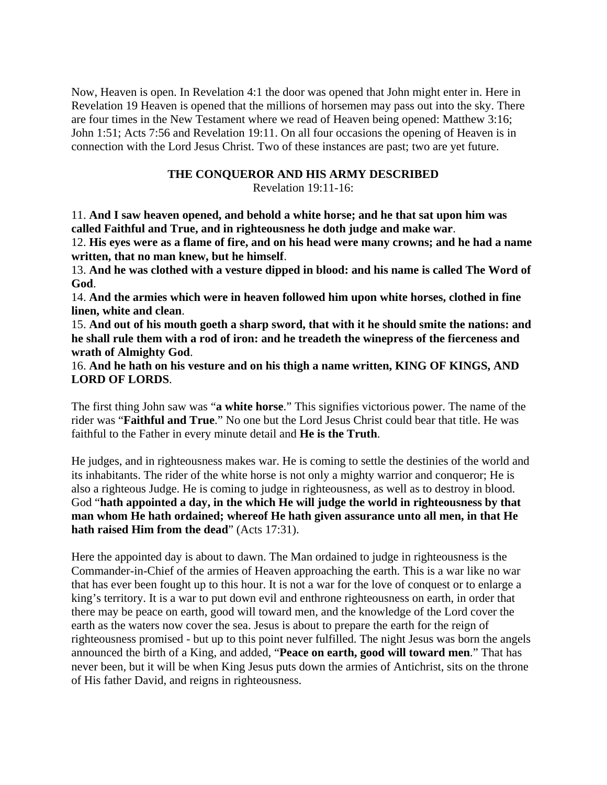Now, Heaven is open. In Revelation 4:1 the door was opened that John might enter in. Here in Revelation 19 Heaven is opened that the millions of horsemen may pass out into the sky. There are four times in the New Testament where we read of Heaven being opened: Matthew 3:16; John 1:51; Acts 7:56 and Revelation 19:11. On all four occasions the opening of Heaven is in connection with the Lord Jesus Christ. Two of these instances are past; two are yet future.

#### **THE CONQUEROR AND HIS ARMY DESCRIBED**

Revelation 19:11-16:

11. **And I saw heaven opened, and behold a white horse; and he that sat upon him was called Faithful and True, and in righteousness he doth judge and make war**.

12. **His eyes were as a flame of fire, and on his head were many crowns; and he had a name written, that no man knew, but he himself**.

13. **And he was clothed with a vesture dipped in blood: and his name is called The Word of God**.

14. **And the armies which were in heaven followed him upon white horses, clothed in fine linen, white and clean**.

15. **And out of his mouth goeth a sharp sword, that with it he should smite the nations: and he shall rule them with a rod of iron: and he treadeth the winepress of the fierceness and wrath of Almighty God**.

16. **And he hath on his vesture and on his thigh a name written, KING OF KINGS, AND LORD OF LORDS**.

The first thing John saw was "**a white horse**." This signifies victorious power. The name of the rider was "**Faithful and True**." No one but the Lord Jesus Christ could bear that title. He was faithful to the Father in every minute detail and **He is the Truth**.

He judges, and in righteousness makes war. He is coming to settle the destinies of the world and its inhabitants. The rider of the white horse is not only a mighty warrior and conqueror; He is also a righteous Judge. He is coming to judge in righteousness, as well as to destroy in blood. God "**hath appointed a day, in the which He will judge the world in righteousness by that man whom He hath ordained; whereof He hath given assurance unto all men, in that He hath raised Him from the dead**" (Acts 17:31).

Here the appointed day is about to dawn. The Man ordained to judge in righteousness is the Commander-in-Chief of the armies of Heaven approaching the earth. This is a war like no war that has ever been fought up to this hour. It is not a war for the love of conquest or to enlarge a king's territory. It is a war to put down evil and enthrone righteousness on earth, in order that there may be peace on earth, good will toward men, and the knowledge of the Lord cover the earth as the waters now cover the sea. Jesus is about to prepare the earth for the reign of righteousness promised - but up to this point never fulfilled. The night Jesus was born the angels announced the birth of a King, and added, "**Peace on earth, good will toward men**." That has never been, but it will be when King Jesus puts down the armies of Antichrist, sits on the throne of His father David, and reigns in righteousness.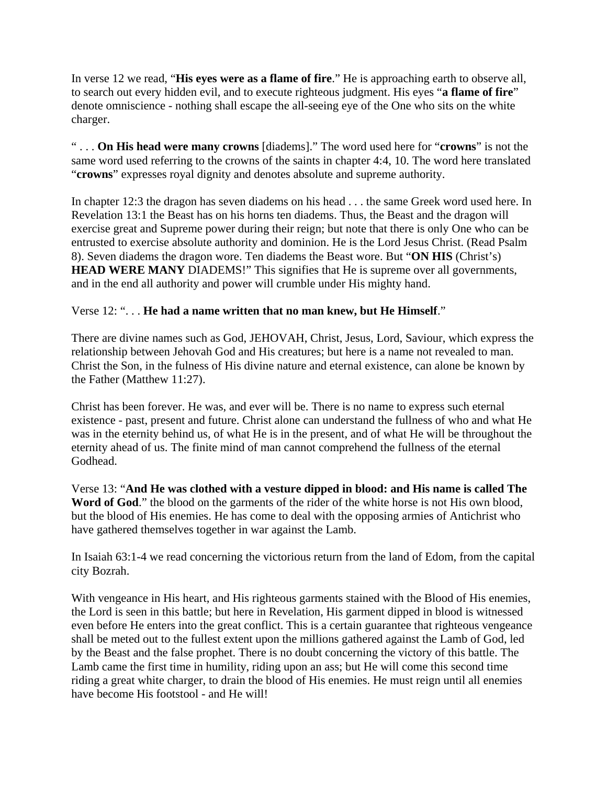In verse 12 we read, "**His eyes were as a flame of fire**." He is approaching earth to observe all, to search out every hidden evil, and to execute righteous judgment. His eyes "**a flame of fire**" denote omniscience - nothing shall escape the all-seeing eye of the One who sits on the white charger.

" . . . **On His head were many crowns** [diadems]." The word used here for "**crowns**" is not the same word used referring to the crowns of the saints in chapter 4:4, 10. The word here translated "**crowns**" expresses royal dignity and denotes absolute and supreme authority.

In chapter 12:3 the dragon has seven diadems on his head . . . the same Greek word used here. In Revelation 13:1 the Beast has on his horns ten diadems. Thus, the Beast and the dragon will exercise great and Supreme power during their reign; but note that there is only One who can be entrusted to exercise absolute authority and dominion. He is the Lord Jesus Christ. (Read Psalm 8). Seven diadems the dragon wore. Ten diadems the Beast wore. But "**ON HIS** (Christ's) **HEAD WERE MANY** DIADEMS!" This signifies that He is supreme over all governments, and in the end all authority and power will crumble under His mighty hand.

# Verse 12: ". . . **He had a name written that no man knew, but He Himself**."

There are divine names such as God, JEHOVAH, Christ, Jesus, Lord, Saviour, which express the relationship between Jehovah God and His creatures; but here is a name not revealed to man. Christ the Son, in the fulness of His divine nature and eternal existence, can alone be known by the Father (Matthew 11:27).

Christ has been forever. He was, and ever will be. There is no name to express such eternal existence - past, present and future. Christ alone can understand the fullness of who and what He was in the eternity behind us, of what He is in the present, and of what He will be throughout the eternity ahead of us. The finite mind of man cannot comprehend the fullness of the eternal Godhead.

Verse 13: "**And He was clothed with a vesture dipped in blood: and His name is called The**  Word of God." the blood on the garments of the rider of the white horse is not His own blood, but the blood of His enemies. He has come to deal with the opposing armies of Antichrist who have gathered themselves together in war against the Lamb.

In Isaiah 63:1-4 we read concerning the victorious return from the land of Edom, from the capital city Bozrah.

With vengeance in His heart, and His righteous garments stained with the Blood of His enemies, the Lord is seen in this battle; but here in Revelation, His garment dipped in blood is witnessed even before He enters into the great conflict. This is a certain guarantee that righteous vengeance shall be meted out to the fullest extent upon the millions gathered against the Lamb of God, led by the Beast and the false prophet. There is no doubt concerning the victory of this battle. The Lamb came the first time in humility, riding upon an ass; but He will come this second time riding a great white charger, to drain the blood of His enemies. He must reign until all enemies have become His footstool - and He will!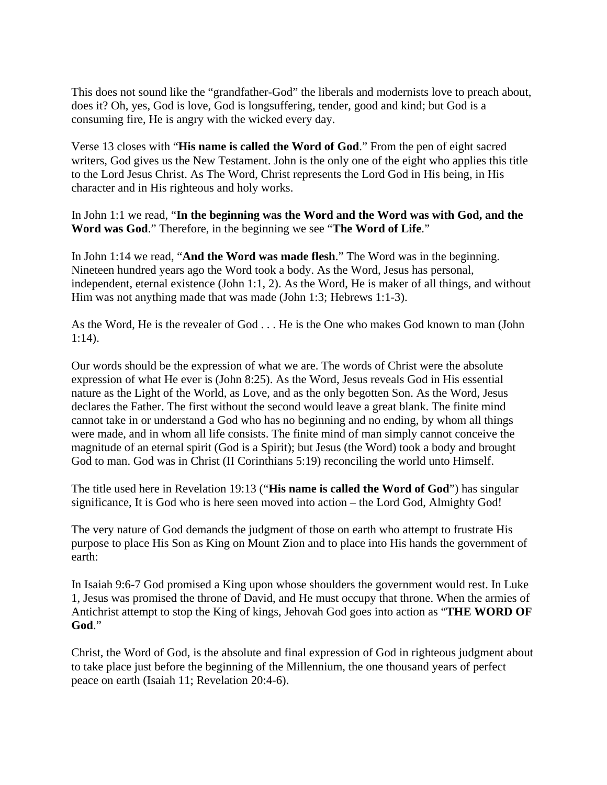This does not sound like the "grandfather-God" the liberals and modernists love to preach about, does it? Oh, yes, God is love, God is longsuffering, tender, good and kind; but God is a consuming fire, He is angry with the wicked every day.

Verse 13 closes with "**His name is called the Word of God**." From the pen of eight sacred writers, God gives us the New Testament. John is the only one of the eight who applies this title to the Lord Jesus Christ. As The Word, Christ represents the Lord God in His being, in His character and in His righteous and holy works.

In John 1:1 we read, "**In the beginning was the Word and the Word was with God, and the Word was God**." Therefore, in the beginning we see "**The Word of Life**."

In John 1:14 we read, "**And the Word was made flesh**." The Word was in the beginning. Nineteen hundred years ago the Word took a body. As the Word, Jesus has personal, independent, eternal existence (John 1:1, 2). As the Word, He is maker of all things, and without Him was not anything made that was made (John 1:3; Hebrews 1:1-3).

As the Word, He is the revealer of God . . . He is the One who makes God known to man (John 1:14).

Our words should be the expression of what we are. The words of Christ were the absolute expression of what He ever is (John 8:25). As the Word, Jesus reveals God in His essential nature as the Light of the World, as Love, and as the only begotten Son. As the Word, Jesus declares the Father. The first without the second would leave a great blank. The finite mind cannot take in or understand a God who has no beginning and no ending, by whom all things were made, and in whom all life consists. The finite mind of man simply cannot conceive the magnitude of an eternal spirit (God is a Spirit); but Jesus (the Word) took a body and brought God to man. God was in Christ (II Corinthians 5:19) reconciling the world unto Himself.

The title used here in Revelation 19:13 ("**His name is called the Word of God**") has singular significance, It is God who is here seen moved into action – the Lord God, Almighty God!

The very nature of God demands the judgment of those on earth who attempt to frustrate His purpose to place His Son as King on Mount Zion and to place into His hands the government of earth:

In Isaiah 9:6-7 God promised a King upon whose shoulders the government would rest. In Luke 1, Jesus was promised the throne of David, and He must occupy that throne. When the armies of Antichrist attempt to stop the King of kings, Jehovah God goes into action as "**THE WORD OF God**."

Christ, the Word of God, is the absolute and final expression of God in righteous judgment about to take place just before the beginning of the Millennium, the one thousand years of perfect peace on earth (Isaiah 11; Revelation 20:4-6).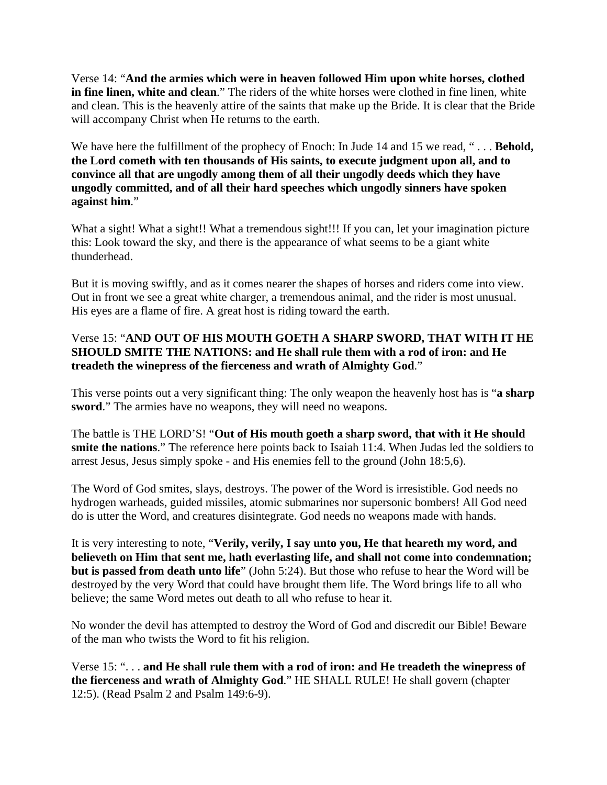Verse 14: "**And the armies which were in heaven followed Him upon white horses, clothed in fine linen, white and clean**." The riders of the white horses were clothed in fine linen, white and clean. This is the heavenly attire of the saints that make up the Bride. It is clear that the Bride will accompany Christ when He returns to the earth.

We have here the fulfillment of the prophecy of Enoch: In Jude 14 and 15 we read, "... **Behold, the Lord cometh with ten thousands of His saints, to execute judgment upon all, and to convince all that are ungodly among them of all their ungodly deeds which they have ungodly committed, and of all their hard speeches which ungodly sinners have spoken against him**."

What a sight! What a sight!! What a tremendous sight!!! If you can, let your imagination picture this: Look toward the sky, and there is the appearance of what seems to be a giant white thunderhead.

But it is moving swiftly, and as it comes nearer the shapes of horses and riders come into view. Out in front we see a great white charger, a tremendous animal, and the rider is most unusual. His eyes are a flame of fire. A great host is riding toward the earth.

# Verse 15: "**AND OUT OF HIS MOUTH GOETH A SHARP SWORD, THAT WITH IT HE SHOULD SMITE THE NATIONS: and He shall rule them with a rod of iron: and He treadeth the winepress of the fierceness and wrath of Almighty God**."

This verse points out a very significant thing: The only weapon the heavenly host has is "**a sharp sword**." The armies have no weapons, they will need no weapons.

The battle is THE LORD'S! "**Out of His mouth goeth a sharp sword, that with it He should smite the nations**." The reference here points back to Isaiah 11:4. When Judas led the soldiers to arrest Jesus, Jesus simply spoke - and His enemies fell to the ground (John 18:5,6).

The Word of God smites, slays, destroys. The power of the Word is irresistible. God needs no hydrogen warheads, guided missiles, atomic submarines nor supersonic bombers! All God need do is utter the Word, and creatures disintegrate. God needs no weapons made with hands.

It is very interesting to note, "**Verily, verily, I say unto you, He that heareth my word, and believeth on Him that sent me, hath everlasting life, and shall not come into condemnation; but is passed from death unto life**" (John 5:24). But those who refuse to hear the Word will be destroyed by the very Word that could have brought them life. The Word brings life to all who believe; the same Word metes out death to all who refuse to hear it.

No wonder the devil has attempted to destroy the Word of God and discredit our Bible! Beware of the man who twists the Word to fit his religion.

Verse 15: ". . . **and He shall rule them with a rod of iron: and He treadeth the winepress of the fierceness and wrath of Almighty God**." HE SHALL RULE! He shall govern (chapter 12:5). (Read Psalm 2 and Psalm 149:6-9).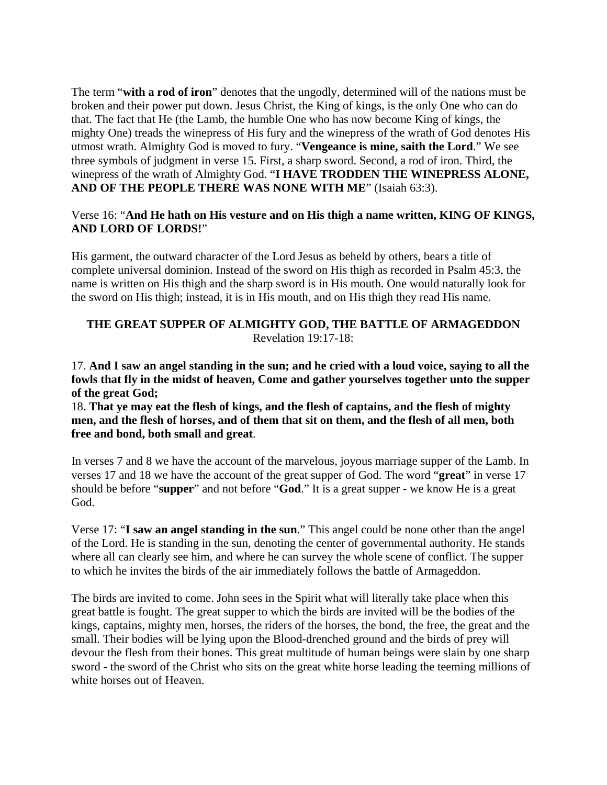The term "**with a rod of iron**" denotes that the ungodly, determined will of the nations must be broken and their power put down. Jesus Christ, the King of kings, is the only One who can do that. The fact that He (the Lamb, the humble One who has now become King of kings, the mighty One) treads the winepress of His fury and the winepress of the wrath of God denotes His utmost wrath. Almighty God is moved to fury. "**Vengeance is mine, saith the Lord**." We see three symbols of judgment in verse 15. First, a sharp sword. Second, a rod of iron. Third, the winepress of the wrath of Almighty God. "**I HAVE TRODDEN THE WINEPRESS ALONE, AND OF THE PEOPLE THERE WAS NONE WITH ME**" (Isaiah 63:3).

#### Verse 16: "**And He hath on His vesture and on His thigh a name written, KING OF KINGS, AND LORD OF LORDS!**"

His garment, the outward character of the Lord Jesus as beheld by others, bears a title of complete universal dominion. Instead of the sword on His thigh as recorded in Psalm 45:3, the name is written on His thigh and the sharp sword is in His mouth. One would naturally look for the sword on His thigh; instead, it is in His mouth, and on His thigh they read His name.

# **THE GREAT SUPPER OF ALMIGHTY GOD, THE BATTLE OF ARMAGEDDON** Revelation 19:17-18:

17. **And I saw an angel standing in the sun; and he cried with a loud voice, saying to all the fowls that fly in the midst of heaven, Come and gather yourselves together unto the supper of the great God;**

18. **That ye may eat the flesh of kings, and the flesh of captains, and the flesh of mighty men, and the flesh of horses, and of them that sit on them, and the flesh of all men, both free and bond, both small and great**.

In verses 7 and 8 we have the account of the marvelous, joyous marriage supper of the Lamb. In verses 17 and 18 we have the account of the great supper of God. The word "**great**" in verse 17 should be before "**supper**" and not before "**God**." It is a great supper - we know He is a great God.

Verse 17: "**I saw an angel standing in the sun**." This angel could be none other than the angel of the Lord. He is standing in the sun, denoting the center of governmental authority. He stands where all can clearly see him, and where he can survey the whole scene of conflict. The supper to which he invites the birds of the air immediately follows the battle of Armageddon.

The birds are invited to come. John sees in the Spirit what will literally take place when this great battle is fought. The great supper to which the birds are invited will be the bodies of the kings, captains, mighty men, horses, the riders of the horses, the bond, the free, the great and the small. Their bodies will be lying upon the Blood-drenched ground and the birds of prey will devour the flesh from their bones. This great multitude of human beings were slain by one sharp sword - the sword of the Christ who sits on the great white horse leading the teeming millions of white horses out of Heaven.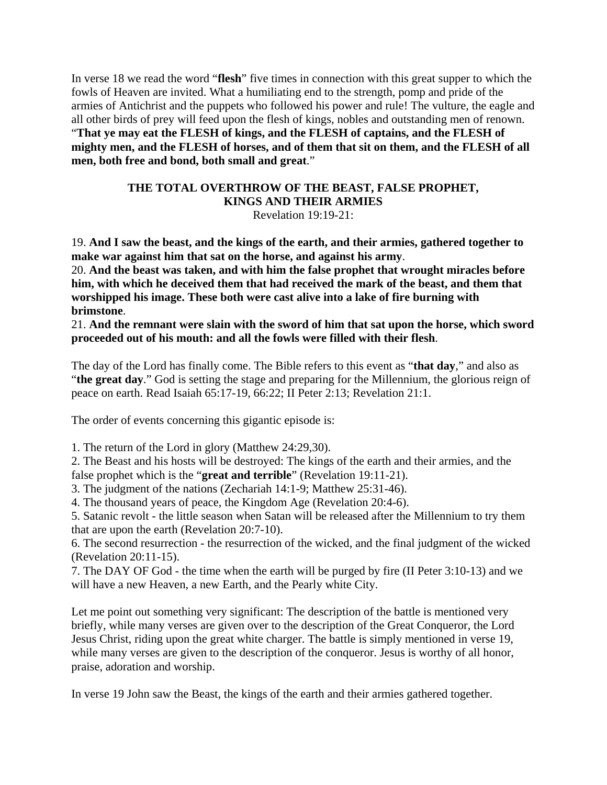In verse 18 we read the word "**flesh**" five times in connection with this great supper to which the fowls of Heaven are invited. What a humiliating end to the strength, pomp and pride of the armies of Antichrist and the puppets who followed his power and rule! The vulture, the eagle and all other birds of prey will feed upon the flesh of kings, nobles and outstanding men of renown. "**That ye may eat the FLESH of kings, and the FLESH of captains, and the FLESH of mighty men, and the FLESH of horses, and of them that sit on them, and the FLESH of all men, both free and bond, both small and great**."

#### **THE TOTAL OVERTHROW OF THE BEAST, FALSE PROPHET, KINGS AND THEIR ARMIES** Revelation 19:19-21:

19. **And I saw the beast, and the kings of the earth, and their armies, gathered together to make war against him that sat on the horse, and against his army**.

20. **And the beast was taken, and with him the false prophet that wrought miracles before him, with which he deceived them that had received the mark of the beast, and them that worshipped his image. These both were cast alive into a lake of fire burning with brimstone**.

21. **And the remnant were slain with the sword of him that sat upon the horse, which sword proceeded out of his mouth: and all the fowls were filled with their flesh**.

The day of the Lord has finally come. The Bible refers to this event as "**that day**," and also as "**the great day**." God is setting the stage and preparing for the Millennium, the glorious reign of peace on earth. Read Isaiah 65:17-19, 66:22; II Peter 2:13; Revelation 21:1.

The order of events concerning this gigantic episode is:

1. The return of the Lord in glory (Matthew 24:29,30).

2. The Beast and his hosts will be destroyed: The kings of the earth and their armies, and the false prophet which is the "**great and terrible**" (Revelation 19:11-21).

3. The judgment of the nations (Zechariah 14:1-9; Matthew 25:31-46).

4. The thousand years of peace, the Kingdom Age (Revelation 20:4-6).

5. Satanic revolt - the little season when Satan will be released after the Millennium to try them that are upon the earth (Revelation 20:7-10).

6. The second resurrection - the resurrection of the wicked, and the final judgment of the wicked (Revelation 20:11-15).

7. The DAY OF God - the time when the earth will be purged by fire (II Peter 3:10-13) and we will have a new Heaven, a new Earth, and the Pearly white City.

Let me point out something very significant: The description of the battle is mentioned very briefly, while many verses are given over to the description of the Great Conqueror, the Lord Jesus Christ, riding upon the great white charger. The battle is simply mentioned in verse 19, while many verses are given to the description of the conqueror. Jesus is worthy of all honor, praise, adoration and worship.

In verse 19 John saw the Beast, the kings of the earth and their armies gathered together.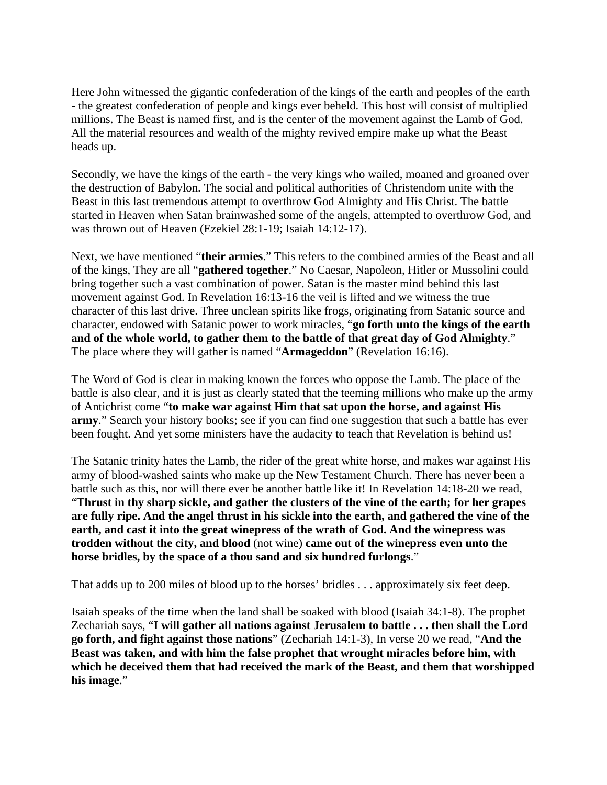Here John witnessed the gigantic confederation of the kings of the earth and peoples of the earth - the greatest confederation of people and kings ever beheld. This host will consist of multiplied millions. The Beast is named first, and is the center of the movement against the Lamb of God. All the material resources and wealth of the mighty revived empire make up what the Beast heads up.

Secondly, we have the kings of the earth - the very kings who wailed, moaned and groaned over the destruction of Babylon. The social and political authorities of Christendom unite with the Beast in this last tremendous attempt to overthrow God Almighty and His Christ. The battle started in Heaven when Satan brainwashed some of the angels, attempted to overthrow God, and was thrown out of Heaven (Ezekiel 28:1-19; Isaiah 14:12-17).

Next, we have mentioned "**their armies**." This refers to the combined armies of the Beast and all of the kings, They are all "**gathered together**." No Caesar, Napoleon, Hitler or Mussolini could bring together such a vast combination of power. Satan is the master mind behind this last movement against God. In Revelation 16:13-16 the veil is lifted and we witness the true character of this last drive. Three unclean spirits like frogs, originating from Satanic source and character, endowed with Satanic power to work miracles, "**go forth unto the kings of the earth and of the whole world, to gather them to the battle of that great day of God Almighty**." The place where they will gather is named "**Armageddon**" (Revelation 16:16).

The Word of God is clear in making known the forces who oppose the Lamb. The place of the battle is also clear, and it is just as clearly stated that the teeming millions who make up the army of Antichrist come "**to make war against Him that sat upon the horse, and against His army**." Search your history books; see if you can find one suggestion that such a battle has ever been fought. And yet some ministers have the audacity to teach that Revelation is behind us!

The Satanic trinity hates the Lamb, the rider of the great white horse, and makes war against His army of blood-washed saints who make up the New Testament Church. There has never been a battle such as this, nor will there ever be another battle like it! In Revelation 14:18-20 we read, "**Thrust in thy sharp sickle, and gather the clusters of the vine of the earth; for her grapes are fully ripe. And the angel thrust in his sickle into the earth, and gathered the vine of the earth, and cast it into the great winepress of the wrath of God. And the winepress was trodden without the city, and blood** (not wine) **came out of the winepress even unto the horse bridles, by the space of a thou sand and six hundred furlongs**."

That adds up to 200 miles of blood up to the horses' bridles . . . approximately six feet deep.

Isaiah speaks of the time when the land shall be soaked with blood (Isaiah 34:1-8). The prophet Zechariah says, "**I will gather all nations against Jerusalem to battle . . . then shall the Lord go forth, and fight against those nations**" (Zechariah 14:1-3), In verse 20 we read, "**And the Beast was taken, and with him the false prophet that wrought miracles before him, with which he deceived them that had received the mark of the Beast, and them that worshipped his image**."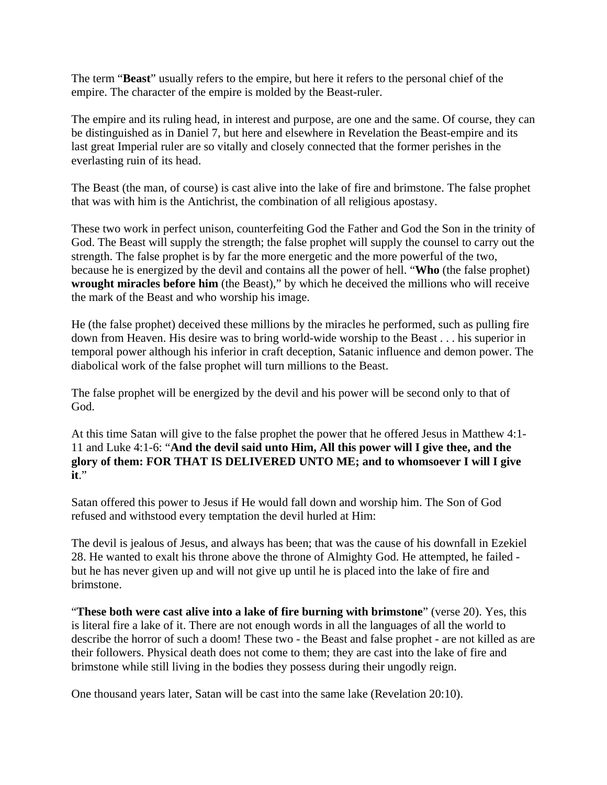The term "**Beast**" usually refers to the empire, but here it refers to the personal chief of the empire. The character of the empire is molded by the Beast-ruler.

The empire and its ruling head, in interest and purpose, are one and the same. Of course, they can be distinguished as in Daniel 7, but here and elsewhere in Revelation the Beast-empire and its last great Imperial ruler are so vitally and closely connected that the former perishes in the everlasting ruin of its head.

The Beast (the man, of course) is cast alive into the lake of fire and brimstone. The false prophet that was with him is the Antichrist, the combination of all religious apostasy.

These two work in perfect unison, counterfeiting God the Father and God the Son in the trinity of God. The Beast will supply the strength; the false prophet will supply the counsel to carry out the strength. The false prophet is by far the more energetic and the more powerful of the two, because he is energized by the devil and contains all the power of hell. "**Who** (the false prophet) **wrought miracles before him** (the Beast)," by which he deceived the millions who will receive the mark of the Beast and who worship his image.

He (the false prophet) deceived these millions by the miracles he performed, such as pulling fire down from Heaven. His desire was to bring world-wide worship to the Beast . . . his superior in temporal power although his inferior in craft deception, Satanic influence and demon power. The diabolical work of the false prophet will turn millions to the Beast.

The false prophet will be energized by the devil and his power will be second only to that of God.

At this time Satan will give to the false prophet the power that he offered Jesus in Matthew 4:1- 11 and Luke 4:1-6: "**And the devil said unto Him, All this power will I give thee, and the glory of them: FOR THAT IS DELIVERED UNTO ME; and to whomsoever I will I give it**."

Satan offered this power to Jesus if He would fall down and worship him. The Son of God refused and withstood every temptation the devil hurled at Him:

The devil is jealous of Jesus, and always has been; that was the cause of his downfall in Ezekiel 28. He wanted to exalt his throne above the throne of Almighty God. He attempted, he failed but he has never given up and will not give up until he is placed into the lake of fire and brimstone.

"**These both were cast alive into a lake of fire burning with brimstone**" (verse 20). Yes, this is literal fire a lake of it. There are not enough words in all the languages of all the world to describe the horror of such a doom! These two - the Beast and false prophet - are not killed as are their followers. Physical death does not come to them; they are cast into the lake of fire and brimstone while still living in the bodies they possess during their ungodly reign.

One thousand years later, Satan will be cast into the same lake (Revelation 20:10).